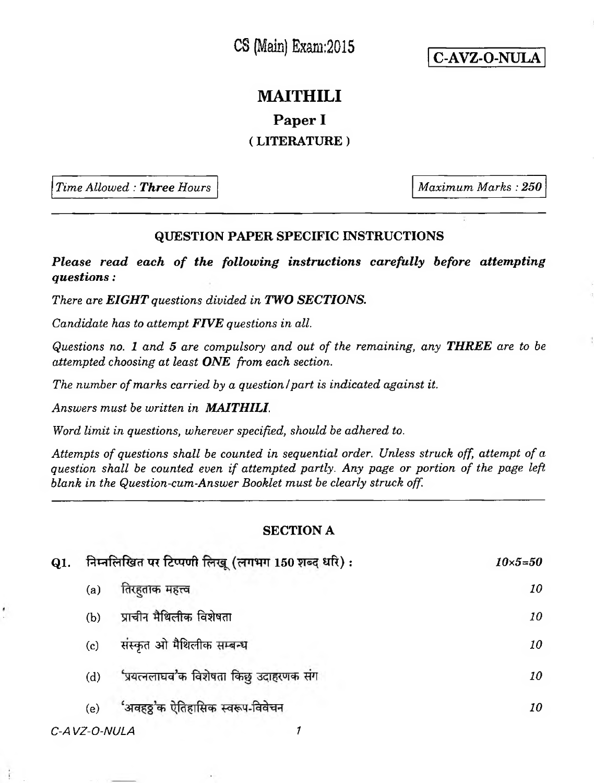CS (Main) Exam:2015

**C-AVZ-O-NULA**

## **MAITHILI**

**Paper I**

## **( LITERATURE )**

*Time Allowed : Three Hours Maximum Marks : 250* 

## **QUESTION PAPER SPECIFIC INSTRUCTIONS**

*Please read each of the following instructions carefully before attempting questions:*

*There are EIGHT questions divided in TWO SECTIONS.*

*Candidate has to attempt FIVE questions in all.*

*Questions no. 1 and 5 are compulsory and out of the remaining***,** *any THREE are to be attempted choosing at least ONE from each section.*

*The number of marks carried by a question I part is indicated against it.*

*Answers must be written in MAITHILI.*

*Word limit in questions, wherever specified***,** *should be adhered to.*

*Attempts of questions shall be counted in sequential order. Unless struck off, attempt of a question shall be counted even if attempted partly. Any page or portion of the page left blank in the Question-cum-Answer Booklet must be clearly struck off.*

## **SECTION A**

| निम्नलिखित पर टिप्पणी लिखू (लगभग 150 शब्द धरि): |                                         | $10\times5 = 50$ |
|-------------------------------------------------|-----------------------------------------|------------------|
| (a)                                             | तिरहताक महत्त्व                         | 10               |
| (b)                                             | प्राचीन मैथिलीक विशेषता                 | 10               |
| (c)                                             | संस्कृत ओ मैथिलीक सम्बन्ध               | 10               |
| (d)                                             | 'प्रयत्नलाघव'क विशेषता किछु उदाहरणक संग | 10               |
| (e)                                             | 'अवहठ्ठ'क ऐतिहासिक स्वरूप-विवेचन        | 10               |
|                                                 |                                         |                  |

*C-AVZ-O-NULA 1*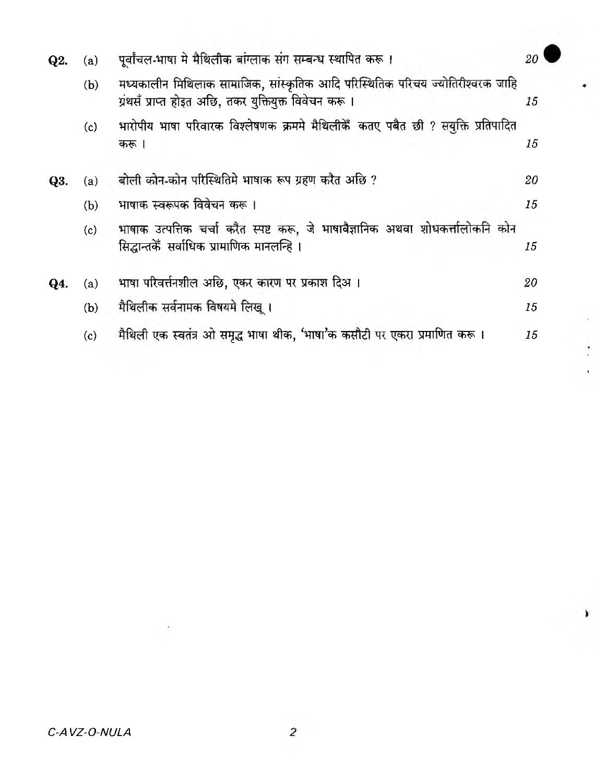| Q2. | (a) | पूर्वांचल-भाषा मे मैथिलीक बांग्लाक संग सम्बन्ध स्थापित करू ।                                                                            | 20 |
|-----|-----|-----------------------------------------------------------------------------------------------------------------------------------------|----|
|     | (b) | मध्यकालीन मिथिलाक सामाजिक, सांस्कृतिक आदि परिस्थितिक परिचय ज्योतिरीश्वरक जाहि<br>ग्रंथसँ प्राप्त होइत अछि, तकर युक्तियुक्त विवेचन करू । | 15 |
|     | (c) | भारोपीय भाषा परिवारक विश्लेषणक क्रममे मैथिलीकैँ कतए पबैत छी ? सयुक्ति प्रतिपादित<br>करू ।                                               | 15 |
| Q3. | (a) | बोली कोन-कोन परिस्थितिमे भाषाक रूप ग्रहण करैत अछि ?                                                                                     | 20 |
|     | (b) | भाषाक स्वरूपक विवेचन करू ।                                                                                                              | 15 |
|     | (c) | भाषाक उत्पत्तिक चर्चा करैत स्पष्ट करू, जे भाषावैज्ञानिक अथवा शोधकर्त्तालोकनि कोन<br>सिद्धान्तकेँ सर्वाधिक प्रामाणिक मानलन्हि ।          | 15 |
| Q4. | (a) | भाषा परिवर्त्तनशील अछि, एकर कारण पर प्रकाश दिअ।                                                                                         | 20 |
|     | (b) | मैथिलीक सर्वनामक विषयमे लिखू ।                                                                                                          | 15 |
|     | (c) | मैथिली एक स्वतंत्र ओ समृद्ध भाषा थीक, 'भाषा'क कसौटी पर एकरा प्रमाणित करू ।                                                              | 15 |

¥

 $\rightarrow$ 

ż